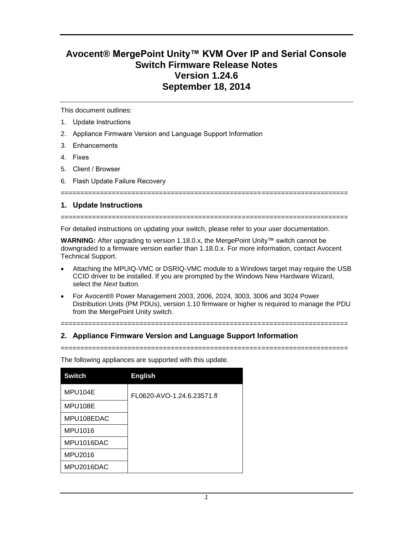# **Avocent® MergePoint Unity™ KVM Over IP and Serial Console Switch Firmware Release Notes Version 1.24.6 September 18, 2014**

This document outlines:

- 1. Update Instructions
- 2. Appliance Firmware Version and Language Support Information
- 3. Enhancements
- 4. Fixes
- 5. Client / Browser
- 6. Flash Update Failure Recovery

#### =========================================================================

## **1. Update Instructions**

=========================================================================

For detailed instructions on updating your switch, please refer to your user documentation.

**WARNING:** After upgrading to version 1.18.0.x, the MergePoint Unity™ switch cannot be downgraded to a firmware version earlier than 1.18.0.x. For more information, contact Avocent Technical Support.

- Attaching the MPUIQ-VMC or DSRIQ-VMC module to a Windows target may require the USB CCID driver to be installed. If you are prompted by the Windows New Hardware Wizard, select the *Next* button.
- For Avocent® Power Management 2003, 2006, 2024, 3003, 3006 and 3024 Power Distribution Units (PM PDUs), version 1.10 firmware or higher is required to manage the PDU from the MergePoint Unity switch.

=========================================================================

# **2. Appliance Firmware Version and Language Support Information**

=========================================================================

The following appliances are supported with this update.

| <b>Switch</b> | <b>English</b>             |
|---------------|----------------------------|
| MPU104E       | FL0620-AVO-1.24.6.23571.fl |
| MPU108E       |                            |
| MPU108EDAC    |                            |
| MPU1016       |                            |
| MPU1016DAC    |                            |
| MPU2016       |                            |
| MPU2016DAC    |                            |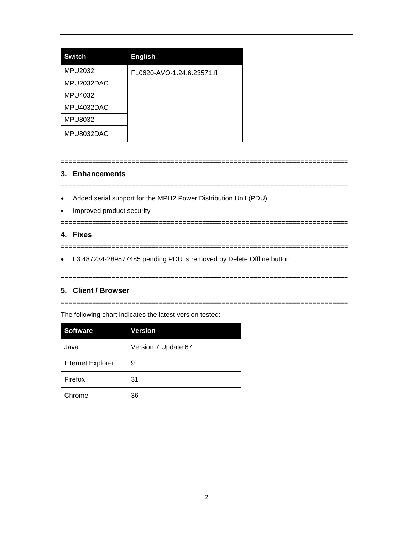| <b>Switch</b> | <b>English</b>             |
|---------------|----------------------------|
| MPU2032       | FL0620-AVO-1.24.6.23571.fl |
| MPU2032DAC    |                            |
| MPU4032       |                            |
| MPU4032DAC    |                            |
| MPU8032       |                            |
| MPU8032DAC    |                            |

# **3. Enhancements**

=========================================================================

=========================================================================

- Added serial support for the MPH2 Power Distribution Unit (PDU)
- Improved product security

## **4. Fixes**

=========================================================================

=========================================================================

L3 487234-289577485:pending PDU is removed by Delete Offline button

=========================================================================

## **5. Client / Browser**

=========================================================================

The following chart indicates the latest version tested:

| <b>Software</b>   | <b>Version</b>      |
|-------------------|---------------------|
| Java              | Version 7 Update 67 |
| Internet Explorer | 9                   |
| Firefox           | 31                  |
| Chrome            | 36                  |